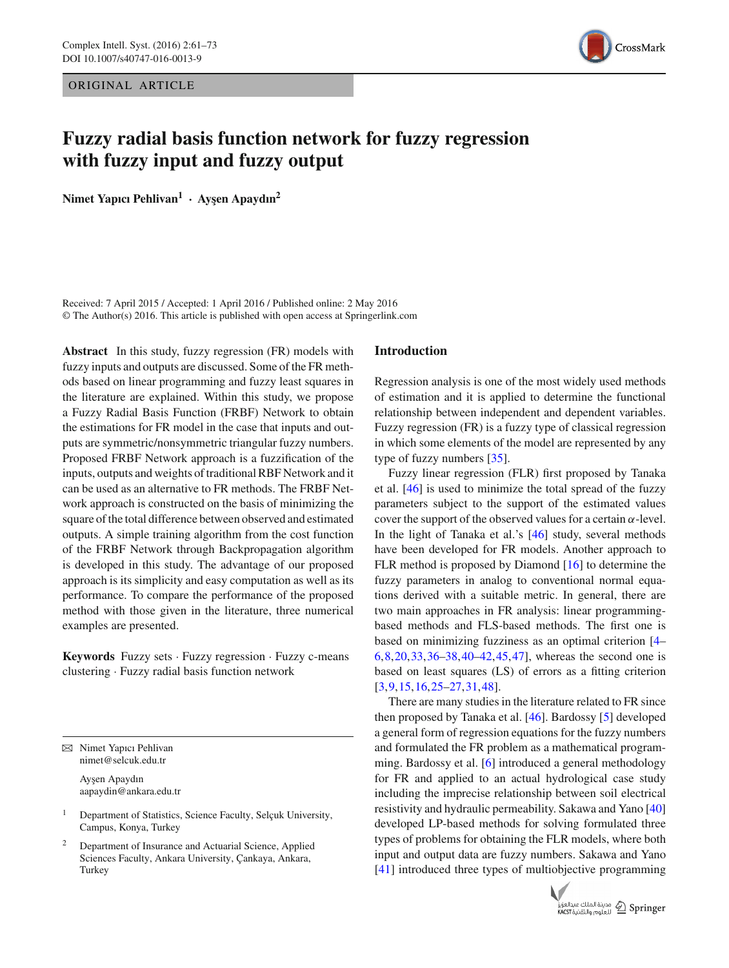ORIGINAL ARTICLE



# **Fuzzy radial basis function network for fuzzy regression with fuzzy input and fuzzy output**

**Nimet Yapıcı Pehlivan1 · Ay¸sen Apaydın2**

Received: 7 April 2015 / Accepted: 1 April 2016 / Published online: 2 May 2016 © The Author(s) 2016. This article is published with open access at Springerlink.com

**Abstract** In this study, fuzzy regression (FR) models with fuzzy inputs and outputs are discussed. Some of the FR methods based on linear programming and fuzzy least squares in the literature are explained. Within this study, we propose a Fuzzy Radial Basis Function (FRBF) Network to obtain the estimations for FR model in the case that inputs and outputs are symmetric/nonsymmetric triangular fuzzy numbers. Proposed FRBF Network approach is a fuzzification of the inputs, outputs and weights of traditional RBF Network and it can be used as an alternative to FR methods. The FRBF Network approach is constructed on the basis of minimizing the square of the total difference between observed and estimated outputs. A simple training algorithm from the cost function of the FRBF Network through Backpropagation algorithm is developed in this study. The advantage of our proposed approach is its simplicity and easy computation as well as its performance. To compare the performance of the proposed method with those given in the literature, three numerical examples are presented.

**Keywords** Fuzzy sets · Fuzzy regression · Fuzzy c-means clustering · Fuzzy radial basis function network

B Nimet Yapıcı Pehlivan nimet@selcuk.edu.tr

> Ay¸sen Apaydın aapaydin@ankara.edu.tr

<sup>1</sup> Department of Statistics, Science Faculty, Selçuk University, Campus, Konya, Turkey

<sup>2</sup> Department of Insurance and Actuarial Science, Applied Sciences Faculty, Ankara University, Çankaya, Ankara, **Turkey** 

### **Introduction**

Regression analysis is one of the most widely used methods of estimation and it is applied to determine the functional relationship between independent and dependent variables. Fuzzy regression (FR) is a fuzzy type of classical regression in which some elements of the model are represented by any type of fuzzy numbers [\[35](#page-12-0)].

Fuzzy linear regression (FLR) first proposed by Tanaka et al. [\[46](#page-12-1)] is used to minimize the total spread of the fuzzy parameters subject to the support of the estimated values cover the support of the observed values for a certain  $\alpha$ -level. In the light of Tanaka et al.'s [\[46\]](#page-12-1) study, several methods have been developed for FR models. Another approach to FLR method is proposed by Diamond [\[16](#page-12-2)] to determine the fuzzy parameters in analog to conventional normal equations derived with a suitable metric. In general, there are two main approaches in FR analysis: linear programmingbased methods and FLS-based methods. The first one is based on minimizing fuzziness as an optimal criterion [\[4](#page-11-0)– [6](#page-11-1)[,8](#page-11-2),[20,](#page-12-3)[33](#page-12-4)[,36](#page-12-5)[–38](#page-12-6)[,40](#page-12-7)[–42](#page-12-8)[,45](#page-12-9),[47\]](#page-12-10), whereas the second one is based on least squares (LS) of errors as a fitting criterion [\[3](#page-11-3),[9,](#page-11-4)[15](#page-12-11)[,16](#page-12-2)[,25](#page-12-12)[–27](#page-12-13),[31,](#page-12-14)[48\]](#page-12-15).

There are many studies in the literature related to FR since then proposed by Tanaka et al. [\[46](#page-12-1)]. Bardossy [\[5](#page-11-5)] developed a general form of regression equations for the fuzzy numbers and formulated the FR problem as a mathematical programming. Bardossy et al. [\[6\]](#page-11-1) introduced a general methodology for FR and applied to an actual hydrological case study including the imprecise relationship between soil electrical resistivity and hydraulic permeability. Sakawa and Yano [\[40\]](#page-12-7) developed LP-based methods for solving formulated three types of problems for obtaining the FLR models, where both input and output data are fuzzy numbers. Sakawa and Yano [\[41](#page-12-16)] introduced three types of multiobjective programming

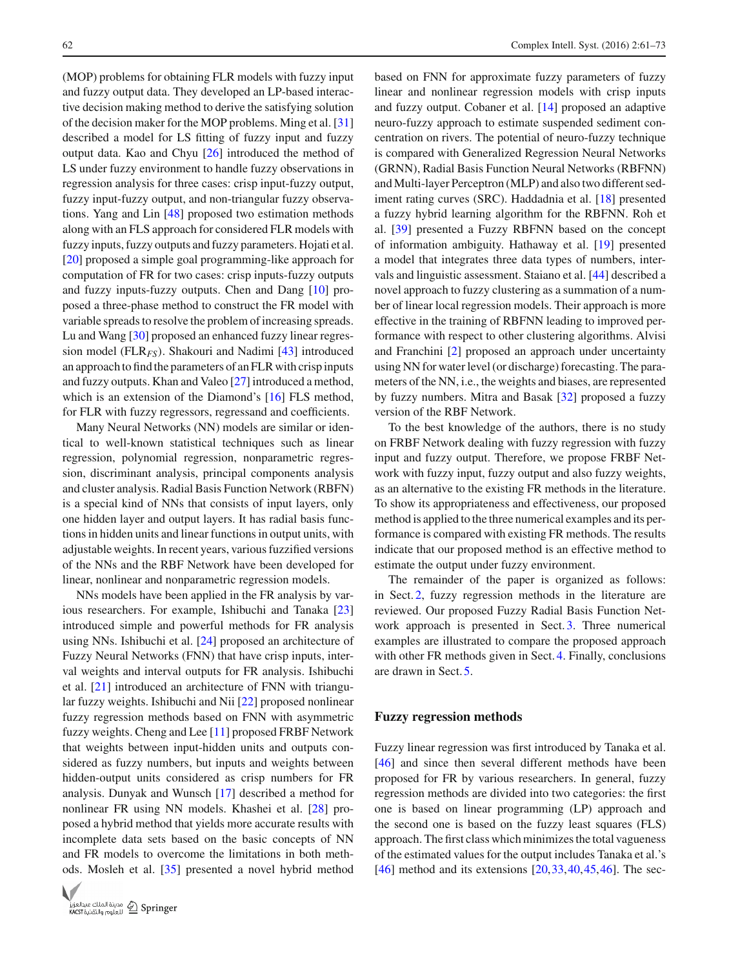(MOP) problems for obtaining FLR models with fuzzy input and fuzzy output data. They developed an LP-based interactive decision making method to derive the satisfying solution of the decision maker for the MOP problems. Ming et al. [\[31\]](#page-12-14) described a model for LS fitting of fuzzy input and fuzzy output data. Kao and Chyu [\[26\]](#page-12-17) introduced the method of LS under fuzzy environment to handle fuzzy observations in regression analysis for three cases: crisp input-fuzzy output, fuzzy input-fuzzy output, and non-triangular fuzzy observations. Yang and Lin [\[48](#page-12-15)] proposed two estimation methods along with an FLS approach for considered FLR models with fuzzy inputs, fuzzy outputs and fuzzy parameters. Hojati et al. [\[20](#page-12-3)] proposed a simple goal programming-like approach for computation of FR for two cases: crisp inputs-fuzzy outputs and fuzzy inputs-fuzzy outputs. Chen and Dang [\[10\]](#page-11-6) proposed a three-phase method to construct the FR model with variable spreads to resolve the problem of increasing spreads. Lu and Wang [\[30](#page-12-18)] proposed an enhanced fuzzy linear regression model (FLR*FS*). Shakouri and Nadimi [\[43](#page-12-19)] introduced an approach to find the parameters of an FLR with crisp inputs and fuzzy outputs. Khan and Valeo [\[27](#page-12-13)] introduced a method, which is an extension of the Diamond's [\[16\]](#page-12-2) FLS method, for FLR with fuzzy regressors, regressand and coefficients.

Many Neural Networks (NN) models are similar or identical to well-known statistical techniques such as linear regression, polynomial regression, nonparametric regression, discriminant analysis, principal components analysis and cluster analysis. Radial Basis Function Network (RBFN) is a special kind of NNs that consists of input layers, only one hidden layer and output layers. It has radial basis functions in hidden units and linear functions in output units, with adjustable weights. In recent years, various fuzzified versions of the NNs and the RBF Network have been developed for linear, nonlinear and nonparametric regression models.

NNs models have been applied in the FR analysis by various researchers. For example, Ishibuchi and Tanaka [\[23\]](#page-12-20) introduced simple and powerful methods for FR analysis using NNs. Ishibuchi et al. [\[24\]](#page-12-21) proposed an architecture of Fuzzy Neural Networks (FNN) that have crisp inputs, interval weights and interval outputs for FR analysis. Ishibuchi et al. [\[21](#page-12-22)] introduced an architecture of FNN with triangular fuzzy weights. Ishibuchi and Nii [\[22](#page-12-23)] proposed nonlinear fuzzy regression methods based on FNN with asymmetric fuzzy weights. Cheng and Lee [\[11\]](#page-12-24) proposed FRBF Network that weights between input-hidden units and outputs considered as fuzzy numbers, but inputs and weights between hidden-output units considered as crisp numbers for FR analysis. Dunyak and Wunsch [\[17](#page-12-25)] described a method for nonlinear FR using NN models. Khashei et al. [\[28\]](#page-12-26) proposed a hybrid method that yields more accurate results with incomplete data sets based on the basic concepts of NN and FR models to overcome the limitations in both methods. Mosleh et al. [\[35](#page-12-0)] presented a novel hybrid method



based on FNN for approximate fuzzy parameters of fuzzy linear and nonlinear regression models with crisp inputs and fuzzy output. Cobaner et al. [\[14\]](#page-12-27) proposed an adaptive neuro-fuzzy approach to estimate suspended sediment concentration on rivers. The potential of neuro-fuzzy technique is compared with Generalized Regression Neural Networks (GRNN), Radial Basis Function Neural Networks (RBFNN) and Multi-layer Perceptron (MLP) and also two different sediment rating curves (SRC). Haddadnia et al. [\[18\]](#page-12-28) presented a fuzzy hybrid learning algorithm for the RBFNN. Roh et al. [\[39](#page-12-29)] presented a Fuzzy RBFNN based on the concept of information ambiguity. Hathaway et al. [\[19\]](#page-12-30) presented a model that integrates three data types of numbers, intervals and linguistic assessment. Staiano et al. [\[44](#page-12-31)] described a novel approach to fuzzy clustering as a summation of a number of linear local regression models. Their approach is more effective in the training of RBFNN leading to improved performance with respect to other clustering algorithms. Alvisi and Franchini [\[2\]](#page-11-7) proposed an approach under uncertainty using NN for water level (or discharge) forecasting. The parameters of the NN, i.e., the weights and biases, are represented by fuzzy numbers. Mitra and Basak [\[32](#page-12-32)] proposed a fuzzy version of the RBF Network.

To the best knowledge of the authors, there is no study on FRBF Network dealing with fuzzy regression with fuzzy input and fuzzy output. Therefore, we propose FRBF Network with fuzzy input, fuzzy output and also fuzzy weights, as an alternative to the existing FR methods in the literature. To show its appropriateness and effectiveness, our proposed method is applied to the three numerical examples and its performance is compared with existing FR methods. The results indicate that our proposed method is an effective method to estimate the output under fuzzy environment.

The remainder of the paper is organized as follows: in Sect. [2,](#page-1-0) fuzzy regression methods in the literature are reviewed. Our proposed Fuzzy Radial Basis Function Network approach is presented in Sect. [3.](#page-3-0) Three numerical examples are illustrated to compare the proposed approach with other FR methods given in Sect. [4.](#page-7-0) Finally, conclusions are drawn in Sect. [5.](#page-11-8)

#### <span id="page-1-0"></span>**Fuzzy regression methods**

Fuzzy linear regression was first introduced by Tanaka et al. [\[46](#page-12-1)] and since then several different methods have been proposed for FR by various researchers. In general, fuzzy regression methods are divided into two categories: the first one is based on linear programming (LP) approach and the second one is based on the fuzzy least squares (FLS) approach. The first class which minimizes the total vagueness of the estimated values for the output includes Tanaka et al.'s [\[46](#page-12-1)] method and its extensions  $[20,33,40,45,46]$  $[20,33,40,45,46]$  $[20,33,40,45,46]$  $[20,33,40,45,46]$  $[20,33,40,45,46]$  $[20,33,40,45,46]$ . The sec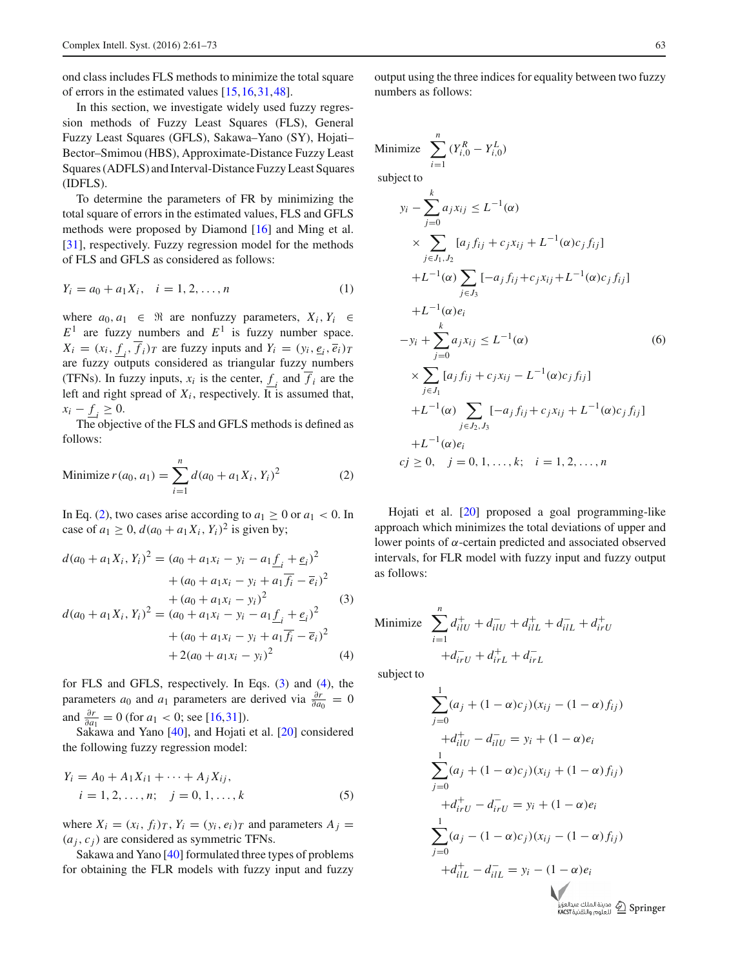ond class includes FLS methods to minimize the total square of errors in the estimated values [\[15](#page-12-11)[,16](#page-12-2),[31,](#page-12-14)[48\]](#page-12-15).

In this section, we investigate widely used fuzzy regression methods of Fuzzy Least Squares (FLS), General Fuzzy Least Squares (GFLS), Sakawa–Yano (SY), Hojati– Bector–Smimou (HBS), Approximate-Distance Fuzzy Least Squares (ADFLS) and Interval-Distance Fuzzy Least Squares (IDFLS).

To determine the parameters of FR by minimizing the total square of errors in the estimated values, FLS and GFLS methods were proposed by Diamond [\[16\]](#page-12-2) and Ming et al. [\[31](#page-12-14)], respectively. Fuzzy regression model for the methods of FLS and GFLS as considered as follows:

$$
Y_i = a_0 + a_1 X_i, \quad i = 1, 2, \dots, n
$$
 (1)

where  $a_0, a_1 \in \Re$  are nonfuzzy parameters,  $X_i, Y_i \in$  $E<sup>1</sup>$  are fuzzy numbers and  $E<sup>1</sup>$  is fuzzy number space.  $X_i = (x_i, \underline{f}_i, f_i)_T$  are fuzzy inputs and  $Y_i = (y_i, \underline{e}_i, \overline{e}_i)_T$ are fuzzy outputs considered as triangular fuzzy numbers (TFNs). In fuzzy inputs,  $x_i$  is the center,  $f_i$  and  $\overline{f}_i$  are the left and right spread of  $X_i$ , respectively. It is assumed that, *x<sub>i</sub>* −  $f$ <sub>*i*</sub> ≥ 0.

<span id="page-2-0"></span>The objective of the FLS and GFLS methods is defined as follows:

Minimize 
$$
r(a_0, a_1) = \sum_{i=1}^{n} d(a_0 + a_1 X_i, Y_i)^2
$$
 (2)

In Eq. [\(2\)](#page-2-0), two cases arise according to  $a_1 \ge 0$  or  $a_1 < 0$ . In case of  $a_1 \geq 0$ ,  $d(a_0 + a_1 X_i, Y_i)^2$  is given by;

<span id="page-2-2"></span><span id="page-2-1"></span>
$$
d(a_0 + a_1X_i, Y_i)^2 = (a_0 + a_1x_i - y_i - a_1\underline{f}_i + \underline{e}_i)^2
$$
  
+  $(a_0 + a_1x_i - y_i + a_1\overline{f}_i - \overline{e}_i)^2$   
+  $(a_0 + a_1x_i - y_i)^2$   
 $d(a_0 + a_1X_i, Y_i)^2 = (a_0 + a_1x_i - y_i - a_1\underline{f}_i + \underline{e}_i)^2$   
+  $(a_0 + a_1x_i - y_i + a_1\overline{f}_i - \overline{e}_i)^2$   
+  $2(a_0 + a_1x_i - y_i)^2$  (4)

for FLS and GFLS, respectively. In Eqs. [\(3\)](#page-2-1) and [\(4\)](#page-2-2), the parameters *a*<sub>0</sub> and *a*<sub>1</sub> parameters are derived via  $\frac{\partial r}{\partial a_0} = 0$ and  $\frac{\partial r}{\partial a_1} = 0$  (for  $a_1 < 0$ ; see [\[16](#page-12-2),[31\]](#page-12-14)).

Sakawa and Yano [\[40](#page-12-7)], and Hojati et al. [\[20\]](#page-12-3) considered the following fuzzy regression model:

$$
Y_i = A_0 + A_1 X_{i1} + \dots + A_j X_{ij},
$$
  
\n $i = 1, 2, \dots, n; \quad j = 0, 1, \dots, k$  (5)

where  $X_i = (x_i, f_i)_T$ ,  $Y_i = (y_i, e_i)_T$  and parameters  $A_i =$  $(a_j, c_j)$  are considered as symmetric TFNs.

Sakawa and Yano [\[40\]](#page-12-7) formulated three types of problems for obtaining the FLR models with fuzzy input and fuzzy

output using the three indices for equality between two fuzzy numbers as follows:

<span id="page-2-3"></span>Minimize 
$$
\sum_{i=1}^{n} (Y_{i,0}^{R} - Y_{i,0}^{L})
$$
  
subject to

$$
y_i - \sum_{j=0} a_j x_{ij} \le L^{-1}(\alpha)
$$
  
\n
$$
\times \sum_{j \in J_1, J_2} [a_j f_{ij} + c_j x_{ij} + L^{-1}(\alpha) c_j f_{ij}]
$$
  
\n
$$
+ L^{-1}(\alpha) \sum_{j \in J_3} [-a_j f_{ij} + c_j x_{ij} + L^{-1}(\alpha) c_j f_{ij}]
$$
  
\n
$$
+ L^{-1}(\alpha) e_i
$$
  
\n
$$
-y_i + \sum_{j=0}^k a_j x_{ij} \le L^{-1}(\alpha)
$$
  
\n
$$
\times \sum_{j \in J_1} [a_j f_{ij} + c_j x_{ij} - L^{-1}(\alpha) c_j f_{ij}]
$$
  
\n
$$
+ L^{-1}(\alpha) \sum_{j \in J_2, J_3} [-a_j f_{ij} + c_j x_{ij} + L^{-1}(\alpha) c_j f_{ij}]
$$
  
\n
$$
+ L^{-1}(\alpha) e_i
$$
  
\n
$$
c_j \ge 0, \quad j = 0, 1, ..., k; \quad i = 1, 2, ..., n
$$

Hojati et al. [\[20\]](#page-12-3) proposed a goal programming-like approach which minimizes the total deviations of upper and lower points of  $α$ -certain predicted and associated observed intervals, for FLR model with fuzzy input and fuzzy output as follows:

<span id="page-2-4"></span>Minimize 
$$
\sum_{i=1}^{n} d_{iIU}^+ + d_{iIU}^- + d_{iIL}^+ + d_{iIL}^- + d_{irU}^+
$$

$$
+ d_{irU}^- + d_{irL}^+ + d_{irL}^-
$$

subject to

$$
\sum_{j=0}^{1} (a_j + (1 - \alpha)c_j)(x_{ij} - (1 - \alpha)f_{ij})
$$
\n
$$
+ d_{iIU}^+ - d_{iIU}^- = y_i + (1 - \alpha)e_i
$$
\n
$$
\sum_{j=0}^{1} (a_j + (1 - \alpha)c_j)(x_{ij} + (1 - \alpha)f_{ij})
$$
\n
$$
+ d_{irU}^+ - d_{irU}^- = y_i + (1 - \alpha)e_i
$$
\n
$$
\sum_{j=0}^{1} (a_j - (1 - \alpha)c_j)(x_{ij} - (1 - \alpha)f_{ij})
$$
\n
$$
+ d_{iIL}^+ - d_{iIL}^- = y_i - (1 - \alpha)e_i
$$
\nUsing equation (2) Springer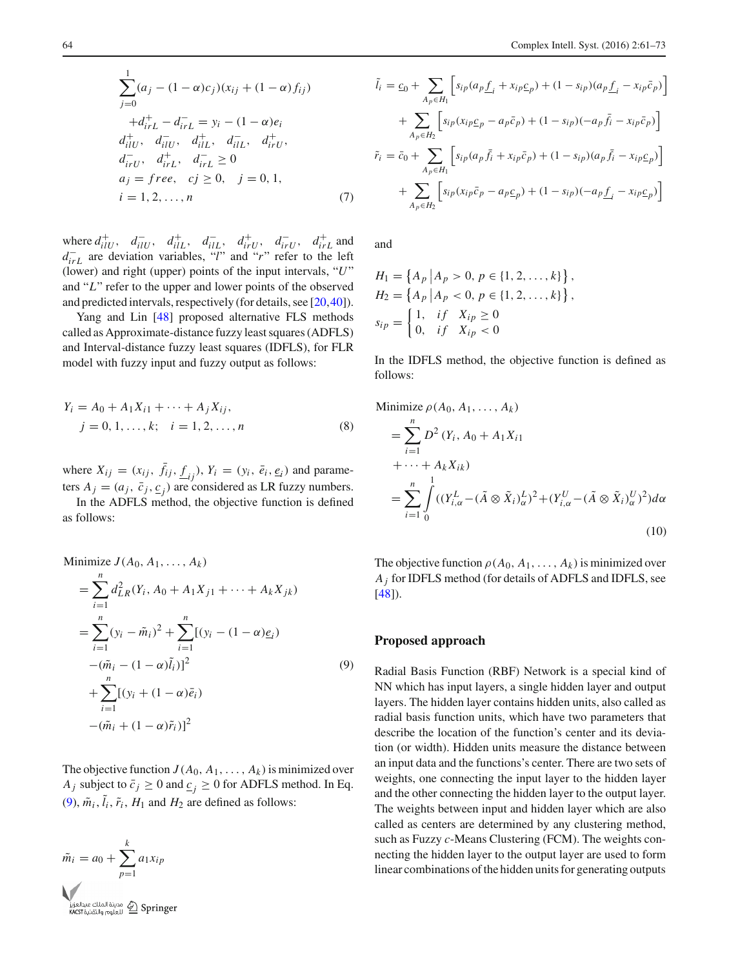$$
\sum_{j=0}^{1} (a_j - (1 - \alpha)c_j)(x_{ij} + (1 - \alpha)f_{ij})
$$
  
+  $d_{irL}^+ - d_{irL}^- = y_i - (1 - \alpha)e_i$   
 $d_{iIU}^+, d_{iIU}^-, d_{iIL}^+, d_{iIL}^-, d_{irU}^+,$   
 $d_{irU}^-, d_{irL}^+, d_{irL}^- \ge 0$   
 $a_j = free, c_j \ge 0, j = 0, 1,$   
 $i = 1, 2, ..., n$  (7)

where  $d_{ilU}^+$ ,  $d_{ilU}^-$ ,  $d_{ilL}^+$ ,  $d_{ilL}^-$ ,  $d_{irU}^+$ ,  $d_{irU}^-$ ,  $d_{irL}^+$  and *d*<sub>*irL*</sub> are deviation variables, "*l*" and "*r*" refer to the left (lower) and right (upper) points of the input intervals, "*U*" and "*L*" refer to the upper and lower points of the observed and predicted intervals, respectively (for details, see [\[20](#page-12-3)[,40](#page-12-7)]).

Yang and Lin [\[48](#page-12-15)] proposed alternative FLS methods called as Approximate-distance fuzzy least squares (ADFLS) and Interval-distance fuzzy least squares (IDFLS), for FLR model with fuzzy input and fuzzy output as follows:

$$
Y_i = A_0 + A_1 X_{i1} + \dots + A_j X_{ij},
$$
  
\n
$$
j = 0, 1, \dots, k; \quad i = 1, 2, \dots, n
$$
\n(8)

where  $X_{ij} = (x_{ij}, \bar{f}_{ij}, \underline{f}_{ij}), Y_i = (y_i, \bar{e}_i, \underline{e}_i)$  and parameters  $A_j = (a_j, \bar{c}_j, \underline{c}_j)$  are considered as LR fuzzy numbers.

In the ADFLS method, the objective function is defined as follows:

<span id="page-3-1"></span>Minimize 
$$
J(A_0, A_1, ..., A_k)
$$
  
\n
$$
= \sum_{i=1}^n d_{LR}^2 (Y_i, A_0 + A_1 X_{j1} + ... + A_k X_{jk})
$$
\n
$$
= \sum_{i=1}^n (y_i - \tilde{m}_i)^2 + \sum_{i=1}^n [(y_i - (1 - \alpha) e_i)
$$
\n
$$
- (\tilde{m}_i - (1 - \alpha) \tilde{l}_i)]^2
$$
\n
$$
+ \sum_{i=1}^n [(y_i + (1 - \alpha) \tilde{e}_i)
$$
\n
$$
- (\tilde{m}_i + (1 - \alpha) \tilde{r}_i)]^2
$$
\n(9)

The objective function  $J(A_0, A_1, \ldots, A_k)$  is minimized over *A<sub>j</sub>* subject to  $\bar{c}_j \ge 0$  and  $\underline{c}_j \ge 0$  for ADFLS method. In Eq. [\(9\)](#page-3-1),  $\tilde{m}_i$ ,  $\tilde{l}_i$ ,  $\tilde{r}_i$ ,  $H_1$  and  $H_2$  are defined as follows:

$$
\tilde{m}_i = a_0 + \sum_{p=1}^k a_1 x_{ip}
$$
\nWeylag equation

\nNot to find a point  $\sum_{k=1}^k a_k x_{ik}$ .

$$
\tilde{l}_{i} = \underline{c}_{0} + \sum_{A_{p} \in H_{1}} \left[ s_{ip} (a_{p} \underline{f}_{i} + x_{ip} \underline{c}_{p}) + (1 - s_{ip}) (a_{p} \underline{f}_{i} - x_{ip} \overline{c}_{p}) \right] \n+ \sum_{A_{p} \in H_{2}} \left[ s_{ip} (x_{ip} \underline{c}_{p} - a_{p} \overline{c}_{p}) + (1 - s_{ip}) (-a_{p} \overline{f}_{i} - x_{ip} \overline{c}_{p}) \right] \n\tilde{r}_{i} = \overline{c}_{0} + \sum_{A_{p} \in H_{1}} \left[ s_{ip} (a_{p} \overline{f}_{i} + x_{ip} \overline{c}_{p}) + (1 - s_{ip}) (a_{p} \overline{f}_{i} - x_{ip} \underline{c}_{p}) \right] \n+ \sum_{A_{p} \in H_{2}} \left[ s_{ip} (x_{ip} \overline{c}_{p} - a_{p} \underline{c}_{p}) + (1 - s_{ip}) (-a_{p} \underline{f}_{i} - x_{ip} \underline{c}_{p}) \right]
$$

and

$$
H_1 = \{ A_p | A_p > 0, p \in \{1, 2, ..., k\} \},
$$
  
\n
$$
H_2 = \{ A_p | A_p < 0, p \in \{1, 2, ..., k\} \},
$$
  
\n
$$
s_{ip} = \begin{cases} 1, & \text{if } X_{ip} \ge 0 \\ 0, & \text{if } X_{ip} < 0 \end{cases}
$$

In the IDFLS method, the objective function is defined as follows:

<span id="page-3-2"></span>Minimize 
$$
\rho(A_0, A_1, ..., A_k)
$$
  
\n
$$
= \sum_{i=1}^n D^2 (Y_i, A_0 + A_1 X_{i1} + ... + A_k X_{ik})
$$
\n
$$
= \sum_{i=1}^n \int_{0}^1 ((Y_{i,\alpha}^L - (\tilde{A} \otimes \tilde{X}_i)^L) + (Y_{i,\alpha}^U - (\tilde{A} \otimes \tilde{X}_i)^U)^2) d\alpha
$$
\n(10)

<span id="page-3-0"></span>The objective function  $\rho(A_0, A_1, \ldots, A_k)$  is minimized over *Aj* for IDFLS method (for details of ADFLS and IDFLS, see [\[48](#page-12-15)]).

#### **Proposed approach**

Radial Basis Function (RBF) Network is a special kind of NN which has input layers, a single hidden layer and output layers. The hidden layer contains hidden units, also called as radial basis function units, which have two parameters that describe the location of the function's center and its deviation (or width). Hidden units measure the distance between an input data and the functions's center. There are two sets of weights, one connecting the input layer to the hidden layer and the other connecting the hidden layer to the output layer. The weights between input and hidden layer which are also called as centers are determined by any clustering method, such as Fuzzy *c*-Means Clustering (FCM). The weights connecting the hidden layer to the output layer are used to form linear combinations of the hidden units for generating outputs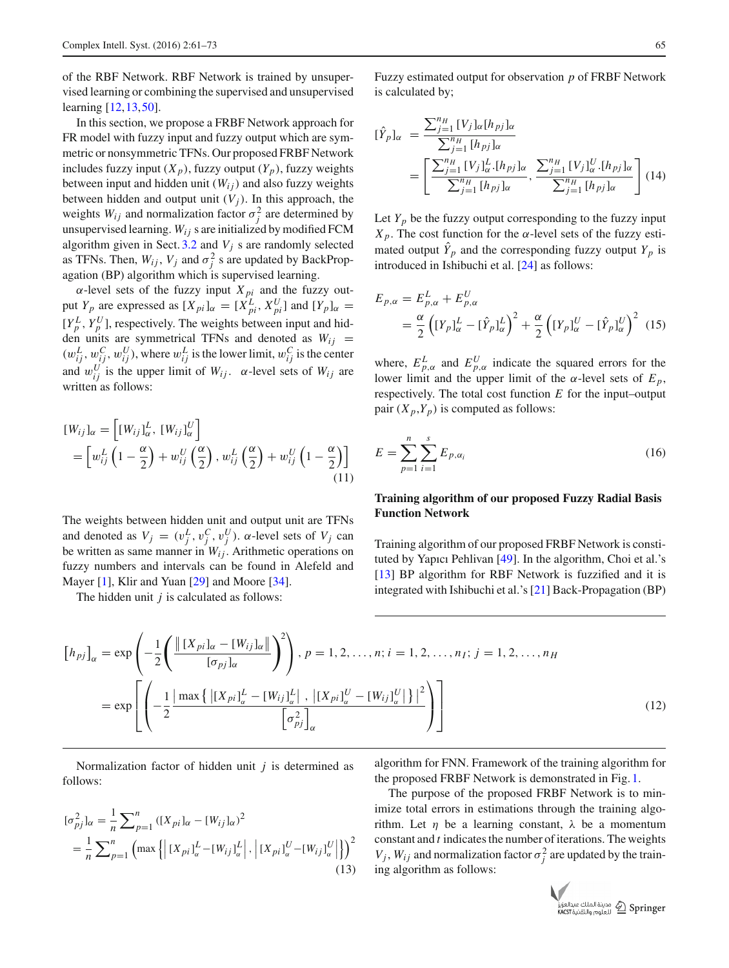of the RBF Network. RBF Network is trained by unsupervised learning or combining the supervised and unsupervised learning [\[12](#page-12-33),[13,](#page-12-34)[50\]](#page-12-35).

In this section, we propose a FRBF Network approach for FR model with fuzzy input and fuzzy output which are symmetric or nonsymmetric TFNs. Our proposed FRBF Network includes fuzzy input  $(X_p)$ , fuzzy output  $(Y_p)$ , fuzzy weights between input and hidden unit  $(W_{ij})$  and also fuzzy weights between hidden and output unit  $(V_i)$ . In this approach, the weights  $W_{ij}$  and normalization factor  $\sigma_j^2$  are determined by unsupervised learning.  $W_{ij}$  s are initialized by modified FCM algorithm given in Sect.  $3.2$  and  $V_j$  s are randomly selected as TFNs. Then,  $W_{ij}$ ,  $V_j$  and  $\sigma_j^2$  s are updated by BackPropagation (BP) algorithm which is supervised learning.

 $\alpha$ -level sets of the fuzzy input  $X_{pi}$  and the fuzzy output  $Y_p$  are expressed as  $[X_{pi}]_{\alpha} = [X_{pi}^L, X_{pi}^U]$  and  $[Y_p]_{\alpha} =$  $[Y_p^L, Y_p^U]$ , respectively. The weights between input and hidden units are symmetrical TFNs and denoted as  $W_{ij}$  =  $(w_{ij}^L, w_{ij}^C, w_{ij}^U)$ , where  $w_{ij}^L$  is the lower limit,  $w_{ij}^C$  is the center and  $w_{ij}^U$  is the upper limit of  $W_{ij}$ .  $\alpha$ -level sets of  $W_{ij}$  are written as follows:

$$
\begin{aligned} [W_{ij}]_{\alpha} &= \left[ [W_{ij}]_{\alpha}^{L}, \ [W_{ij}]_{\alpha}^{U} \right] \\ &= \left[ w_{ij}^{L} \left( 1 - \frac{\alpha}{2} \right) + w_{ij}^{U} \left( \frac{\alpha}{2} \right), \ w_{ij}^{L} \left( \frac{\alpha}{2} \right) + w_{ij}^{U} \left( 1 - \frac{\alpha}{2} \right) \right] \end{aligned} \tag{11}
$$

The weights between hidden unit and output unit are TFNs and denoted as  $V_j = (v_j^L, v_j^C, v_j^U)$ .  $\alpha$ -level sets of  $V_j$  can be written as same manner in  $W_{ij}$ . Arithmetic operations on fuzzy numbers and intervals can be found in Alefeld and Mayer [\[1\]](#page-11-9), Klir and Yuan [\[29\]](#page-12-36) and Moore [\[34\]](#page-12-37).

The hidden unit *j* is calculated as follows:

Fuzzy estimated output for observation *p* of FRBF Network is calculated by;

$$
\begin{split} [\hat{Y}_p]_{\alpha} &= \frac{\sum_{j=1}^{n_H} [V_j]_{\alpha} [h_{pj}]_{\alpha}}{\sum_{j=1}^{n_H} [h_{pj}]_{\alpha}} \\ &= \left[ \frac{\sum_{j=1}^{n_H} [V_j]_{\alpha}^L [h_{pj}]_{\alpha}}{\sum_{j=1}^{n_H} [h_{pj}]_{\alpha}}, \frac{\sum_{j=1}^{n_H} [V_j]_{\alpha}^U [h_{pj}]_{\alpha}}{\sum_{j=1}^{n_H} [h_{pj}]_{\alpha}} \right] (14) \end{split}
$$

Let  $Y_p$  be the fuzzy output corresponding to the fuzzy input  $X_p$ . The cost function for the  $\alpha$ -level sets of the fuzzy estimated output  $\hat{Y}_p$  and the corresponding fuzzy output  $Y_p$  is introduced in Ishibuchi et al. [\[24](#page-12-21)] as follows:

<span id="page-4-2"></span>
$$
E_{p,\alpha} = E_{p,\alpha}^{L} + E_{p,\alpha}^{U}
$$
  
=  $\frac{\alpha}{2} \left( [Y_p]_{\alpha}^{L} - [\hat{Y}_p]_{\alpha}^{L} \right)^{2} + \frac{\alpha}{2} \left( [Y_p]_{\alpha}^{U} - [\hat{Y}_p]_{\alpha}^{U} \right)^{2}$  (15)

where,  $E_{p,\alpha}^{L}$  and  $E_{p,\alpha}^{U}$  indicate the squared errors for the lower limit and the upper limit of the α-level sets of  $E_p$ , respectively. The total cost function *E* for the input–output pair  $(X_p, Y_p)$  is computed as follows:

<span id="page-4-3"></span>
$$
E = \sum_{p=1}^{n} \sum_{i=1}^{s} E_{p,\alpha_i}
$$
 (16)

## <span id="page-4-4"></span>**Training algorithm of our proposed Fuzzy Radial Basis Function Network**

Training algorithm of our proposed FRBF Network is constituted by Yapıcı Pehlivan [\[49](#page-12-38)]. In the algorithm, Choi et al.'s [\[13](#page-12-34)] BP algorithm for RBF Network is fuzzified and it is integrated with Ishibuchi et al.'s [\[21\]](#page-12-22) Back-Propagation (BP)

<span id="page-4-1"></span>
$$
\begin{aligned}\n\left[h_{pj}\right]_{\alpha} &= \exp\left(-\frac{1}{2}\left(\frac{\left\|\left[X_{pi}\right]_{\alpha} - \left[W_{ij}\right]_{\alpha}\right\|}{\left[\sigma_{pj}\right]_{\alpha}}\right)^{2}\right), \, p = 1, 2, \dots, n; \, i = 1, 2, \dots, n_{I}; \, j = 1, 2, \dots, n_{H} \\
&= \exp\left[\left(-\frac{1}{2}\frac{\left|\max\left\{\left|\left[X_{pi}\right]_{\alpha}^{L} - \left[W_{ij}\right]_{\alpha}^{L}\right|, \left|\left[X_{pi}\right]_{\alpha}^{U} - \left[W_{ij}\right]_{\alpha}^{U}\right|\right\}\right|^{2}}{\left[\sigma_{pj}^{2}\right]_{\alpha}}\right)\right]\n\end{aligned} \tag{12}
$$

Normalization factor of hidden unit *j* is determined as follows:

<span id="page-4-0"></span>
$$
[\sigma_{pj}^2]_{\alpha} = \frac{1}{n} \sum_{p=1}^n ( [X_{pi}]_{\alpha} - [W_{ij}]_{\alpha} )^2
$$
  
= 
$$
\frac{1}{n} \sum_{p=1}^n \left( \max \left\{ \left| [X_{pi}]_{\alpha}^L - [W_{ij}]_{\alpha}^L \right|, \left| [X_{pi}]_{\alpha}^U - [W_{ij}]_{\alpha}^U \right| \right\} \right)^2
$$
(13)

algorithm for FNN. Framework of the training algorithm for the proposed FRBF Network is demonstrated in Fig. [1.](#page-5-0)

The purpose of the proposed FRBF Network is to minimize total errors in estimations through the training algorithm. Let  $\eta$  be a learning constant,  $\lambda$  be a momentum constant and *t* indicates the number of iterations. The weights  $V_j$ ,  $W_{ij}$  and normalization factor  $\sigma_j^2$  are updated by the training algorithm as follows:

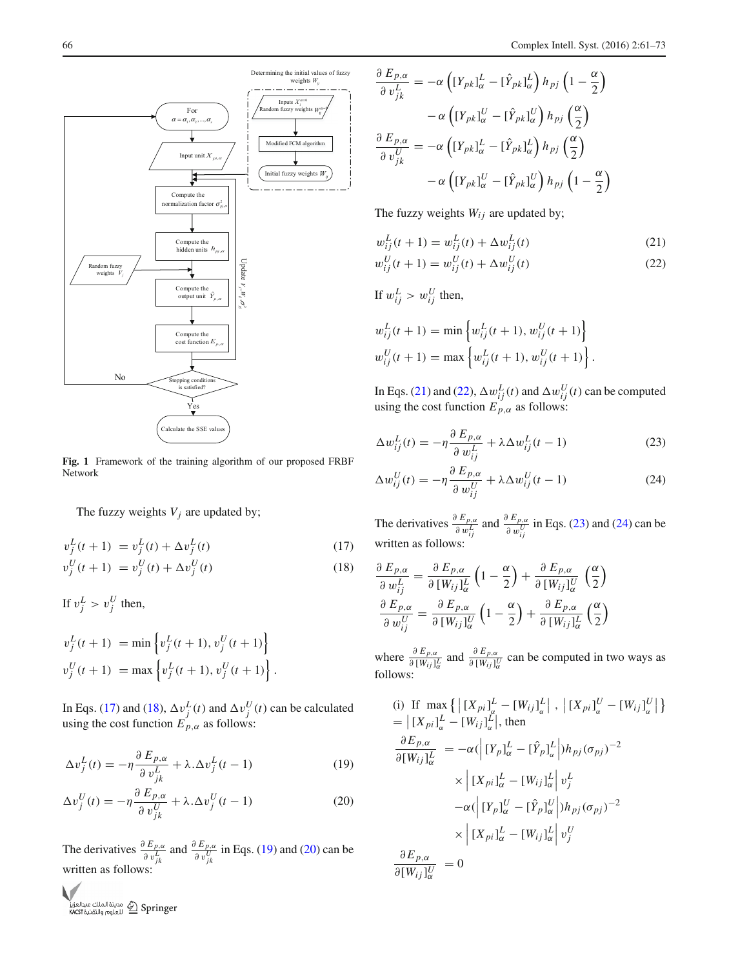

<span id="page-5-0"></span>**Fig. 1** Framework of the training algorithm of our proposed FRBF Network

The fuzzy weights  $V_i$  are updated by;

<span id="page-5-1"></span>
$$
v_j^L(t+1) = v_j^L(t) + \Delta v_j^L(t)
$$
\n(17)

$$
v_j^U(t+1) = v_j^U(t) + \Delta v_j^U(t)
$$
\n(18)

$$
v_j^L(t+1) = \min \left\{ v_j^L(t+1), v_j^U(t+1) \right\}
$$
  

$$
v_j^U(t+1) = \max \left\{ v_j^L(t+1), v_j^U(t+1) \right\}.
$$

In Eqs. [\(17\)](#page-5-1) and [\(18\)](#page-5-1),  $\Delta v_j^L(t)$  and  $\Delta v_j^U(t)$  can be calculated using the cost function  $E_{p,\alpha}$  as follows:

<span id="page-5-2"></span>
$$
\Delta v_j^L(t) = -\eta \frac{\partial E_{p,\alpha}}{\partial v_{jk}^L} + \lambda \Delta v_j^L(t-1)
$$
\n(19)

$$
\Delta v_j^U(t) = -\eta \frac{\partial E_{p,\alpha}}{\partial v_{jk}^U} + \lambda \Delta v_j^U(t-1)
$$
\n(20)

The derivatives  $\frac{\partial E_{p,\alpha}}{\partial v_{jk}^L}$  and  $\frac{\partial E_{p,\alpha}}{\partial v_{jk}^U}$  in Eqs. [\(19\)](#page-5-2) and [\(20\)](#page-5-2) can be written as follows:



If  $v_j^L > v_j^U$  then,

$$
\frac{\partial E_{p,\alpha}}{\partial v_{jk}^{L}} = -\alpha \left( [Y_{pk}]_{\alpha}^{L} - [\hat{Y}_{pk}]_{\alpha}^{L} \right) h_{pj} \left( 1 - \frac{\alpha}{2} \right)
$$

$$
- \alpha \left( [Y_{pk}]_{\alpha}^{U} - [\hat{Y}_{pk}]_{\alpha}^{U} \right) h_{pj} \left( \frac{\alpha}{2} \right)
$$

$$
\frac{\partial E_{p,\alpha}}{\partial v_{jk}^{U}} = -\alpha \left( [Y_{pk}]_{\alpha}^{L} - [\hat{Y}_{pk}]_{\alpha}^{L} \right) h_{pj} \left( \frac{\alpha}{2} \right)
$$

$$
- \alpha \left( [Y_{pk}]_{\alpha}^{U} - [\hat{Y}_{pk}]_{\alpha}^{U} \right) h_{pj} \left( 1 - \frac{\alpha}{2} \right)
$$

The fuzzy weights  $W_{ij}$  are updated by;

<span id="page-5-3"></span>
$$
w_{ij}^{L}(t+1) = w_{ij}^{L}(t) + \Delta w_{ij}^{L}(t)
$$
\n(21)

$$
w_{ij}^{U}(t+1) = w_{ij}^{U}(t) + \Delta w_{ij}^{U}(t)
$$
\n(22)

If 
$$
w_{ij}^L > w_{ij}^U
$$
 then,

$$
w_{ij}^{L}(t+1) = \min \left\{ w_{ij}^{L}(t+1), w_{ij}^{U}(t+1) \right\}
$$
  

$$
w_{ij}^{U}(t+1) = \max \left\{ w_{ij}^{L}(t+1), w_{ij}^{U}(t+1) \right\}.
$$

In Eqs. [\(21\)](#page-5-3) and [\(22\)](#page-5-3),  $\Delta w_{ij}^L(t)$  and  $\Delta w_{ij}^U(t)$  can be computed using the cost function  $E_{p,\alpha}$  as follows:

<span id="page-5-4"></span>
$$
\Delta w_{ij}^L(t) = -\eta \frac{\partial E_{p,\alpha}}{\partial w_{ij}^L} + \lambda \Delta w_{ij}^L(t-1)
$$
\n(23)

$$
\Delta w_{ij}^U(t) = -\eta \frac{\partial E_{p,\alpha}}{\partial w_{ij}^U} + \lambda \Delta w_{ij}^U(t-1)
$$
\n(24)

The derivatives  $\frac{\partial E_{p,\alpha}}{\partial w_{ij}^L}$  and  $\frac{\partial E_{p,\alpha}}{\partial w_{ij}^U}$  in Eqs. [\(23\)](#page-5-4) and [\(24\)](#page-5-4) can be written as follows:

$$
\frac{\partial E_{p,\alpha}}{\partial w_{ij}^L} = \frac{\partial E_{p,\alpha}}{\partial [W_{ij}]_{\alpha}^L} \left(1 - \frac{\alpha}{2}\right) + \frac{\partial E_{p,\alpha}}{\partial [W_{ij}]_{\alpha}^U} \left(\frac{\alpha}{2}\right)
$$

$$
\frac{\partial E_{p,\alpha}}{\partial w_{ij}^U} = \frac{\partial E_{p,\alpha}}{\partial [W_{ij}]_{\alpha}^U} \left(1 - \frac{\alpha}{2}\right) + \frac{\partial E_{p,\alpha}}{\partial [W_{ij}]_{\alpha}^L} \left(\frac{\alpha}{2}\right)
$$

where  $\frac{\partial E_{p,\alpha}}{\partial [W_{ij}]}$  and  $\frac{\partial E_{p,\alpha}}{\partial [W_{ij}]}$  can be computed in two ways as follows:

(i) If 
$$
\max \{ |[X_{pi}]_{\alpha}^{L} - [W_{ij}]_{\alpha}^{L} |, |[X_{pi}]_{\alpha}^{U} - [W_{ij}]_{\alpha}^{U} | \}
$$
  
\n
$$
= |[X_{pi}]_{\alpha}^{L} - [W_{ij}]_{\alpha}^{L} |, \text{ then}
$$
\n
$$
\frac{\partial E_{p,\alpha}}{\partial [W_{ij}]_{\alpha}^{L}} = -\alpha \langle |[Y_{p}]_{\alpha}^{L} - [\hat{Y}_{p}]_{\alpha}^{L} | h_{pj}(\sigma_{pj})^{-2}
$$
\n
$$
\times |[X_{pi}]_{\alpha}^{L} - [W_{ij}]_{\alpha}^{L} | v_{j}^{L}
$$
\n
$$
-\alpha \langle |[Y_{p}]_{\alpha}^{U} - [\hat{Y}_{p}]_{\alpha}^{U} | h_{pj}(\sigma_{pj})^{-2}
$$
\n
$$
\times |[X_{pi}]_{\alpha}^{L} - [W_{ij}]_{\alpha}^{L} | v_{j}^{U}
$$
\n
$$
\frac{\partial E_{p,\alpha}}{\partial [W_{ij}]_{\alpha}^{U}} = 0
$$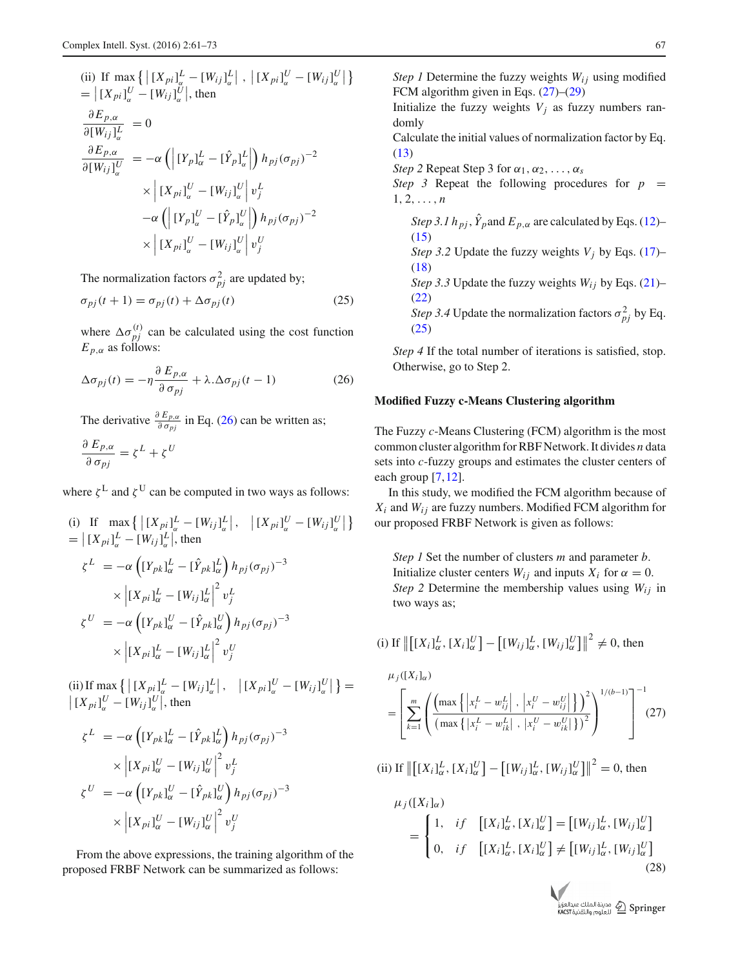(ii) If max 
$$
\{ |[X_{pi}]_{\alpha}^{L} - [W_{ij}]_{\alpha}^{L} |, |[X_{pi}]_{\alpha}^{U} - [W_{ij}]_{\alpha}^{U} | \}
$$
  
\n $= |[X_{pi}]_{\alpha}^{U} - [W_{ij}]_{\alpha}^{U} |, \text{ then}$   
\n
$$
\frac{\partial E_{p,\alpha}}{\partial [W_{ij}]_{\alpha}^{L}} = 0
$$
\n
$$
\frac{\partial E_{p,\alpha}}{\partial [W_{ij}]_{\alpha}^{U}} = -\alpha \left( |[Y_{p}]_{\alpha}^{L} - [\hat{Y}_{p}]_{\alpha}^{L} | \right) h_{pj} (\sigma_{pj})^{-2}
$$
\n $\times |[X_{pi}]_{\alpha}^{U} - [W_{ij}]_{\alpha}^{U} | v_{j}^{L}$ \n
$$
-\alpha \left( |[Y_{p}]_{\alpha}^{U} - [\hat{Y}_{p}]_{\alpha}^{U} | \right) h_{pj} (\sigma_{pj})^{-2}
$$
\n $\times |[X_{pi}]_{\alpha}^{U} - [W_{ij}]_{\alpha}^{U} | v_{j}^{U}$ 

<span id="page-6-3"></span>The normalization factors  $\sigma_{pj}^2$  are updated by;

$$
\sigma_{pj}(t+1) = \sigma_{pj}(t) + \Delta \sigma_{pj}(t) \tag{25}
$$

<span id="page-6-1"></span>where  $\Delta \sigma_{pj}^{(t)}$  can be calculated using the cost function  $E_{p,\alpha}$  as follows:

$$
\Delta \sigma_{pj}(t) = -\eta \frac{\partial E_{p,\alpha}}{\partial \sigma_{pj}} + \lambda \Delta \sigma_{pj}(t-1)
$$
 (26)

The derivative  $\frac{\partial E_{p,\alpha}}{\partial \sigma_{pj}}$  in Eq. [\(26\)](#page-6-1) can be written as;

$$
\frac{\partial E_{p,\alpha}}{\partial \sigma_{pj}} = \zeta^L + \zeta^U
$$

where  $\zeta^L$  and  $\zeta^U$  can be computed in two ways as follows:

(i) If 
$$
\max \{ |[X_{pi}]_{\alpha}^{L} - [W_{ij}]_{\alpha}^{L} |, |[X_{pi}]_{\alpha}^{U} - [W_{ij}]_{\alpha}^{U} | \}
$$
  
\n
$$
= |[X_{pi}]_{\alpha}^{L} - [W_{ij}]_{\alpha}^{L} |, \text{ then}
$$
\n
$$
\zeta^{L} = -\alpha \left( [Y_{pk}]_{\alpha}^{L} - [\hat{Y}_{pk}]_{\alpha}^{L} \right) h_{pj}(\sigma_{pj})^{-3}
$$
\n
$$
\times |[X_{pi}]_{\alpha}^{L} - [W_{ij}]_{\alpha}^{L} |^{2} v_{j}^{L}
$$
\n
$$
\zeta^{U} = -\alpha \left( [Y_{pk}]_{\alpha}^{U} - [\hat{Y}_{pk}]_{\alpha}^{U} \right) h_{pj}(\sigma_{pj})^{-3}
$$
\n
$$
\times |[X_{pi}]_{\alpha}^{L} - [W_{ij}]_{\alpha}^{L} |^{2} v_{j}^{U}
$$

(ii) If max  $\{ |[X_{pi}]_{\alpha}^{L} - [W_{ij}]_{\alpha}^{L}|, |[X_{pi}]_{\alpha}^{U} - [W_{ij}]_{\alpha}^{U}| \} =$ <br> $|[X_{pi}]_{\alpha}^{U} - [W_{ij}]_{\alpha}^{U}|,$  then

$$
\zeta^{L} = -\alpha \left( [Y_{pk}]_{\alpha}^{L} - [\hat{Y}_{pk}]_{\alpha}^{L} \right) h_{pj} (\sigma_{pj})^{-3}
$$

$$
\times \left| [X_{pi}]_{\alpha}^{U} - [W_{ij}]_{\alpha}^{U} \right|^{2} v_{j}^{L}
$$

$$
\zeta^{U} = -\alpha \left( [Y_{pk}]_{\alpha}^{U} - [\hat{Y}_{pk}]_{\alpha}^{U} \right) h_{pj} (\sigma_{pj})^{-3}
$$

$$
\times \left| [X_{pi}]_{\alpha}^{U} - [W_{ij}]_{\alpha}^{U} \right|^{2} v_{j}^{U}
$$

From the above expressions, the training algorithm of the proposed FRBF Network can be summarized as follows:

*Step 1* Determine the fuzzy weights  $W_{ij}$  using modified FCM algorithm given in Eqs. [\(27\)](#page-6-2)–[\(29\)](#page-7-1)

Initialize the fuzzy weights  $V_i$  as fuzzy numbers randomly

Calculate the initial values of normalization factor by Eq. [\(13\)](#page-4-0)

*Step 2* Repeat Step 3 for  $\alpha_1, \alpha_2, \ldots, \alpha_s$ 

*Step 3* Repeat the following procedures for  $p =$ 1, 2,..., *n*

*Step 3.1 h<sub>pj</sub>*,  $\hat{Y}_p$  and  $E_{p,\alpha}$  are calculated by Eqs. [\(12\)](#page-4-1)– [\(15\)](#page-4-2) *Step 3.2* Update the fuzzy weights  $V_i$  by Eqs. [\(17\)](#page-5-1)– [\(18\)](#page-5-1)

*Step 3.3* Update the fuzzy weights  $W_{ij}$  by Eqs. [\(21\)](#page-5-3)– [\(22\)](#page-5-3)

*Step 3.4* Update the normalization factors  $\sigma_{pj}^2$  by Eq. [\(25\)](#page-6-3)

*Step 4* If the total number of iterations is satisfied, stop. Otherwise, go to Step 2.

### <span id="page-6-0"></span>**Modified Fuzzy c-Means Clustering algorithm**

The Fuzzy *c*-Means Clustering (FCM) algorithm is the most common cluster algorithm for RBF Network. It divides *n* data sets into *c*-fuzzy groups and estimates the cluster centers of each group [\[7](#page-11-10)[,12](#page-12-33)].

In this study, we modified the FCM algorithm because of  $X_i$  and  $W_{ij}$  are fuzzy numbers. Modified FCM algorithm for our proposed FRBF Network is given as follows:

*Step 1* Set the number of clusters *m* and parameter *b*. Initialize cluster centers  $W_{ij}$  and inputs  $X_i$  for  $\alpha = 0$ . *Step 2* Determine the membership values using  $W_{ij}$  in two ways as;

(i) If 
$$
\left\| \left[ [X_i]_{\alpha}^{L}, [X_i]_{\alpha}^{U} \right] - \left[ [W_{ij}]_{\alpha}^{L}, [W_{ij}]_{\alpha}^{U} \right] \right\|^2 \neq 0
$$
, then

<span id="page-6-2"></span>
$$
\mu_{j}([X_{i}]_{\alpha}) = \left[ \sum_{k=1}^{m} \left( \frac{\left( \max\left\{ \left| x_{i}^{L} - w_{ij}^{L} \right| , \left| x_{i}^{U} - w_{ij}^{U} \right| \right\} \right)^{2}}{\left( \max\left\{ \left| x_{i}^{L} - w_{ik}^{L} \right| , \left| x_{i}^{U} - w_{ik}^{U} \right| \right\} \right)^{2}} \right)^{1/(b-1)} \right]^{-1} (27)
$$

(ii) If 
$$
\left\| \left[ [X_i]_{\alpha}^{L}, [X_i]_{\alpha}^{U} \right] - \left[ [W_{ij}]_{\alpha}^{L}, [W_{ij}]_{\alpha}^{U} \right] \right\|^{2} = 0
$$
, then

$$
\mu_j([X_i]_\alpha)
$$
\n
$$
= \begin{cases}\n1, & if \quad [(X_i]_\alpha^L, [X_i]_\alpha^U] = [(W_{ij}]_\alpha^L, [W_{ij}]_\alpha^U] \\
0, & if \quad [(X_i]_\alpha^L, [X_i]_\alpha^U] \neq [(W_{ij}]_\alpha^L, [W_{ij}]_\alpha^U]\n\end{cases}
$$
\n(28)

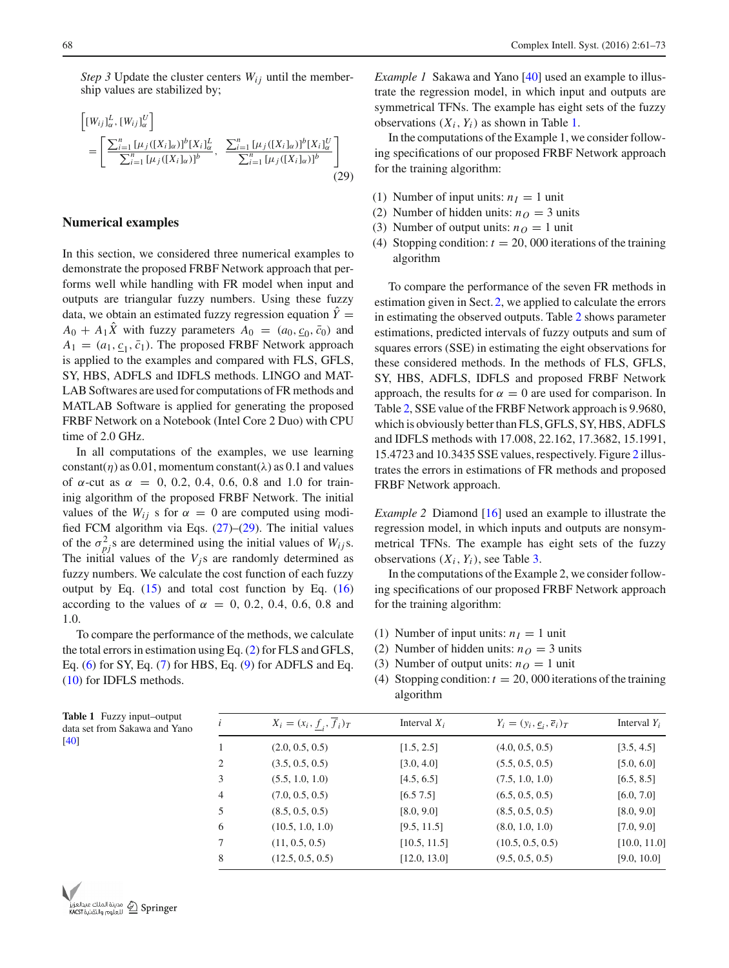*Step 3* Update the cluster centers  $W_{ij}$  until the membership values are stabilized by;

<span id="page-7-1"></span>
$$
\begin{aligned} &\left[ [W_{ij}]_{\alpha}^{L}, [W_{ij}]_{\alpha}^{U} \right] \\ & = \left[ \frac{\sum_{i=1}^{n} [\mu_{j}([X_{i}]_{\alpha})]^{b}[X_{i}]_{\alpha}^{L}}{\sum_{i=1}^{n} [\mu_{j}([X_{i}]_{\alpha})]^{b}} , \frac{\sum_{i=1}^{n} [\mu_{j}([X_{i}]_{\alpha})]^{b}[X_{i}]_{\alpha}^{U}}{\sum_{i=1}^{n} [\mu_{j}([X_{i}]_{\alpha})]^{b}} \right] \end{aligned} \tag{29}
$$

#### <span id="page-7-0"></span>**Numerical examples**

In this section, we considered three numerical examples to demonstrate the proposed FRBF Network approach that performs well while handling with FR model when input and outputs are triangular fuzzy numbers. Using these fuzzy data, we obtain an estimated fuzzy regression equation  $\hat{Y}$  =  $A_0 + A_1\hat{X}$  with fuzzy parameters  $A_0 = (a_0, c_0, \bar{c}_0)$  and  $A_1 = (a_1, \underline{c}_1, \overline{c}_1)$ . The proposed FRBF Network approach is applied to the examples and compared with FLS, GFLS, SY, HBS, ADFLS and IDFLS methods. LINGO and MAT-LAB Softwares are used for computations of FR methods and MATLAB Software is applied for generating the proposed FRBF Network on a Notebook (Intel Core 2 Duo) with CPU time of 2.0 GHz.

In all computations of the examples, we use learning constant( $\eta$ ) as 0.01, momentum constant( $\lambda$ ) as 0.1 and values of α-cut as  $\alpha = 0, 0.2, 0.4, 0.6, 0.8$  and 1.0 for traininig algorithm of the proposed FRBF Network. The initial values of the  $W_{ij}$  s for  $\alpha = 0$  are computed using modified FCM algorithm via Eqs.  $(27)$ – $(29)$ . The initial values of the  $\sigma_{pj}^2$ s are determined using the initial values of  $W_{ij}$ s. The initial values of the  $V_j$ s are randomly determined as fuzzy numbers. We calculate the cost function of each fuzzy output by Eq.  $(15)$  and total cost function by Eq.  $(16)$ according to the values of  $\alpha = 0, 0.2, 0.4, 0.6, 0.8$  and 1.0.

To compare the performance of the methods, we calculate the total errors in estimation using Eq. [\(2\)](#page-2-0) for FLS and GFLS, Eq. [\(6\)](#page-2-3) for SY, Eq. [\(7\)](#page-2-4) for HBS, Eq. [\(9\)](#page-3-1) for ADFLS and Eq. [\(10\)](#page-3-2) for IDFLS methods.

*Example 1* Sakawa and Yano [\[40\]](#page-12-7) used an example to illustrate the regression model, in which input and outputs are symmetrical TFNs. The example has eight sets of the fuzzy observations  $(X_i, Y_i)$  as shown in Table [1.](#page-7-2)

In the computations of the Example 1, we consider following specifications of our proposed FRBF Network approach for the training algorithm:

- (1) Number of input units:  $n_I = 1$  unit
- (2) Number of hidden units:  $n<sub>O</sub> = 3$  units
- (3) Number of output units:  $n<sub>O</sub> = 1$  unit
- (4) Stopping condition:  $t = 20,000$  iterations of the training algorithm

To compare the performance of the seven FR methods in estimation given in Sect. [2,](#page-1-0) we applied to calculate the errors in estimating the observed outputs. Table [2](#page-8-0) shows parameter estimations, predicted intervals of fuzzy outputs and sum of squares errors (SSE) in estimating the eight observations for these considered methods. In the methods of FLS, GFLS, SY, HBS, ADFLS, IDFLS and proposed FRBF Network approach, the results for  $\alpha = 0$  are used for comparison. In Table [2,](#page-8-0) SSE value of the FRBF Network approach is 9.9680, which is obviously better than FLS, GFLS, SY, HBS, ADFLS and IDFLS methods with 17.008, 22.162, 17.3682, 15.1991, 15.4723 and 10.3435 SSE values, respectively. Figure [2](#page-8-1) illustrates the errors in estimations of FR methods and proposed FRBF Network approach.

*Example 2* Diamond [\[16\]](#page-12-2) used an example to illustrate the regression model, in which inputs and outputs are nonsymmetrical TFNs. The example has eight sets of the fuzzy observations  $(X_i, Y_i)$ , see Table [3.](#page-8-2)

In the computations of the Example 2, we consider following specifications of our proposed FRBF Network approach for the training algorithm:

- (1) Number of input units:  $n_I = 1$  unit
- (2) Number of hidden units:  $n<sub>O</sub> = 3$  units
- (3) Number of output units:  $n<sub>O</sub> = 1$  unit
- (4) Stopping condition:  $t = 20,000$  iterations of the training algorithm

<span id="page-7-2"></span>

|             | Table 1 Fuzzy input-output    |  |
|-------------|-------------------------------|--|
|             | data set from Sakawa and Yano |  |
| <b>[40]</b> |                               |  |

| 10 | Ĺ              | $X_i = (x_i, f_i, \overline{f}_i)_T$ | Interval $X_i$ | $Y_i = (y_i, \underline{e}_i, \overline{e}_i)_T$ | Interval $Y_i$ |
|----|----------------|--------------------------------------|----------------|--------------------------------------------------|----------------|
|    |                | (2.0, 0.5, 0.5)                      | [1.5, 2.5]     | (4.0, 0.5, 0.5)                                  | [3.5, 4.5]     |
|    | $\overline{2}$ | (3.5, 0.5, 0.5)                      | [3.0, 4.0]     | (5.5, 0.5, 0.5)                                  | [5.0, 6.0]     |
|    | 3              | (5.5, 1.0, 1.0)                      | [4.5, 6.5]     | (7.5, 1.0, 1.0)                                  | [6.5, 8.5]     |
|    | $\overline{4}$ | (7.0, 0.5, 0.5)                      | [6.5 7.5]      | (6.5, 0.5, 0.5)                                  | [6.0, 7.0]     |
|    | 5              | (8.5, 0.5, 0.5)                      | [8.0, 9.0]     | (8.5, 0.5, 0.5)                                  | [8.0, 9.0]     |
|    | 6              | (10.5, 1.0, 1.0)                     | [9.5, 11.5]    | (8.0, 1.0, 1.0)                                  | [7.0, 9.0]     |
|    |                | (11, 0.5, 0.5)                       | [10.5, 11.5]   | (10.5, 0.5, 0.5)                                 | [10.0, 11.0]   |
|    | 8              | (12.5, 0.5, 0.5)                     | [12.0, 13.0]   | (9.5, 0.5, 0.5)                                  | [9.0, 10.0]    |

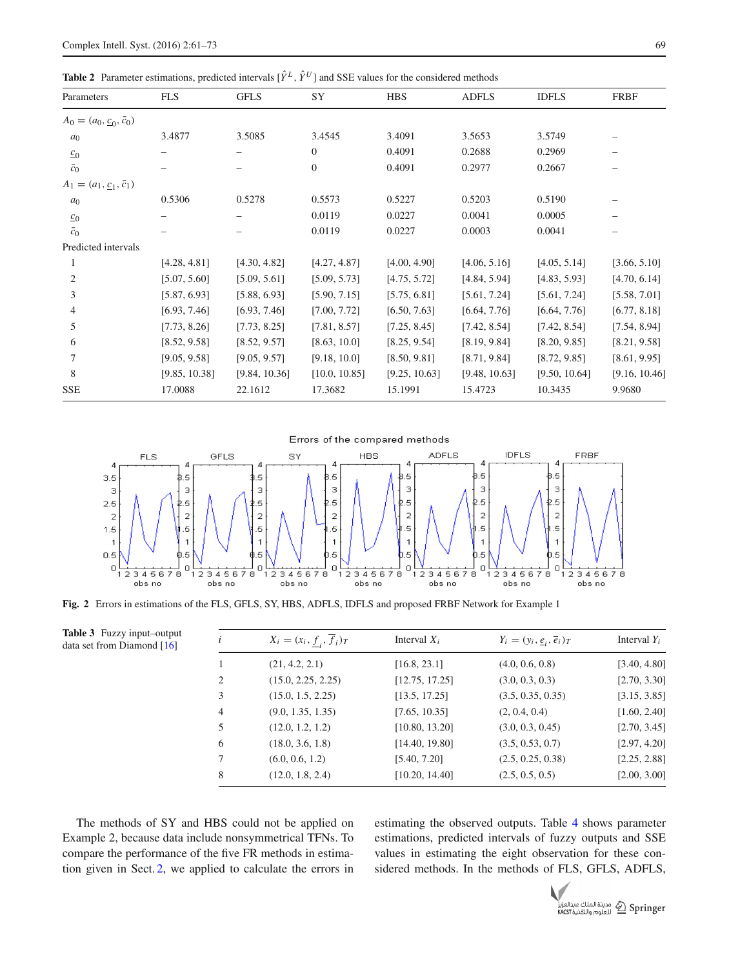**Table 2** Parameter estimations, predicted intervals  $[\hat{Y}^L, \hat{Y}^U]$  and SSE values for the considered methods

<span id="page-8-0"></span>

| Parameters                                     | <b>FLS</b>    | <b>GFLS</b>   | SY             | <b>HBS</b>    | <b>ADFLS</b>  | <b>IDFLS</b>  | FRBF          |
|------------------------------------------------|---------------|---------------|----------------|---------------|---------------|---------------|---------------|
| $A_0 = (a_0, c_0, \bar{c}_0)$                  |               |               |                |               |               |               |               |
| a <sub>0</sub>                                 | 3.4877        | 3.5085        | 3.4545         | 3.4091        | 3.5653        | 3.5749        |               |
| $\mathcal{L}_0$                                |               |               | $\overline{0}$ | 0.4091        | 0.2688        | 0.2969        |               |
| $\bar{c}_0$                                    |               |               | $\overline{0}$ | 0.4091        | 0.2977        | 0.2667        |               |
| $A_1 = (a_1, \underline{c}_1, \overline{c}_1)$ |               |               |                |               |               |               |               |
| a <sub>0</sub>                                 | 0.5306        | 0.5278        | 0.5573         | 0.5227        | 0.5203        | 0.5190        |               |
| $\mathcal{L}_0$                                |               |               | 0.0119         | 0.0227        | 0.0041        | 0.0005        |               |
| $\bar{c}_0$                                    |               |               | 0.0119         | 0.0227        | 0.0003        | 0.0041        |               |
| Predicted intervals                            |               |               |                |               |               |               |               |
| 1                                              | [4.28, 4.81]  | [4.30, 4.82]  | [4.27, 4.87]   | [4.00, 4.90]  | [4.06, 5.16]  | [4.05, 5.14]  | [3.66, 5.10]  |
| 2                                              | [5.07, 5.60]  | [5.09, 5.61]  | [5.09, 5.73]   | [4.75, 5.72]  | [4.84, 5.94]  | [4.83, 5.93]  | [4.70, 6.14]  |
| 3                                              | [5.87, 6.93]  | [5.88, 6.93]  | [5.90, 7.15]   | [5.75, 6.81]  | [5.61, 7.24]  | [5.61, 7.24]  | [5.58, 7.01]  |
| 4                                              | [6.93, 7.46]  | [6.93, 7.46]  | [7.00, 7.72]   | [6.50, 7.63]  | [6.64, 7.76]  | [6.64, 7.76]  | [6.77, 8.18]  |
| 5                                              | [7.73, 8.26]  | [7.73, 8.25]  | [7.81, 8.57]   | [7.25, 8.45]  | [7.42, 8.54]  | [7.42, 8.54]  | [7.54, 8.94]  |
| 6                                              | [8.52, 9.58]  | [8.52, 9.57]  | [8.63, 10.0]   | [8.25, 9.54]  | [8.19, 9.84]  | [8.20, 9.85]  | [8.21, 9.58]  |
| 7                                              | [9.05, 9.58]  | [9.05, 9.57]  | [9.18, 10.0]   | [8.50, 9.81]  | [8.71, 9.84]  | [8.72, 9.85]  | [8.61, 9.95]  |
| 8                                              | [9.85, 10.38] | [9.84, 10.36] | [10.0, 10.85]  | [9.25, 10.63] | [9.48, 10.63] | [9.50, 10.64] | [9.16, 10.46] |
| SSE                                            | 17.0088       | 22.1612       | 17.3682        | 15.1991       | 15.4723       | 10.3435       | 9.9680        |

Errors of the compared methods



<span id="page-8-1"></span>**Fig. 2** Errors in estimations of the FLS, GFLS, SY, HBS, ADFLS, IDFLS and proposed FRBF Network for Example 1

<span id="page-8-2"></span>

| Table 3 Fuzzy input-output<br>data set from Diamond [16] |   | $X_i = (x_i, f_i, \overline{f}_i)_T$ | Interval $X_i$ | $Y_i = (y_i, \underline{e}_i, \overline{e}_i)_T$ | Interval $Y_i$ |
|----------------------------------------------------------|---|--------------------------------------|----------------|--------------------------------------------------|----------------|
|                                                          |   | (21, 4.2, 2.1)                       | [16.8, 23.1]   | (4.0, 0.6, 0.8)                                  | [3.40, 4.80]   |
|                                                          | 2 | (15.0, 2.25, 2.25)                   | [12.75, 17.25] | (3.0, 0.3, 0.3)                                  | [2.70, 3.30]   |
|                                                          | 3 | (15.0, 1.5, 2.25)                    | [13.5, 17.25]  | (3.5, 0.35, 0.35)                                | [3.15, 3.85]   |
|                                                          | 4 | (9.0, 1.35, 1.35)                    | [7.65, 10.35]  | (2, 0.4, 0.4)                                    | [1.60, 2.40]   |
|                                                          | 5 | (12.0, 1.2, 1.2)                     | [10.80, 13.20] | (3.0, 0.3, 0.45)                                 | [2.70, 3.45]   |
|                                                          | 6 | (18.0, 3.6, 1.8)                     | [14.40, 19.80] | (3.5, 0.53, 0.7)                                 | [2.97, 4.20]   |
|                                                          | 7 | (6.0, 0.6, 1.2)                      | [5.40, 7.20]   | (2.5, 0.25, 0.38)                                | [2.25, 2.88]   |
|                                                          | 8 | (12.0, 1.8, 2.4)                     | [10.20, 14.40] | (2.5, 0.5, 0.5)                                  | [2.00, 3.00]   |
|                                                          |   |                                      |                |                                                  |                |

The methods of SY and HBS could not be applied on Example 2, because data include nonsymmetrical TFNs. To compare the performance of the five FR methods in estimation given in Sect. [2,](#page-1-0) we applied to calculate the errors in estimating the observed outputs. Table [4](#page-9-0) shows parameter estimations, predicted intervals of fuzzy outputs and SSE values in estimating the eight observation for these considered methods. In the methods of FLS, GFLS, ADFLS,



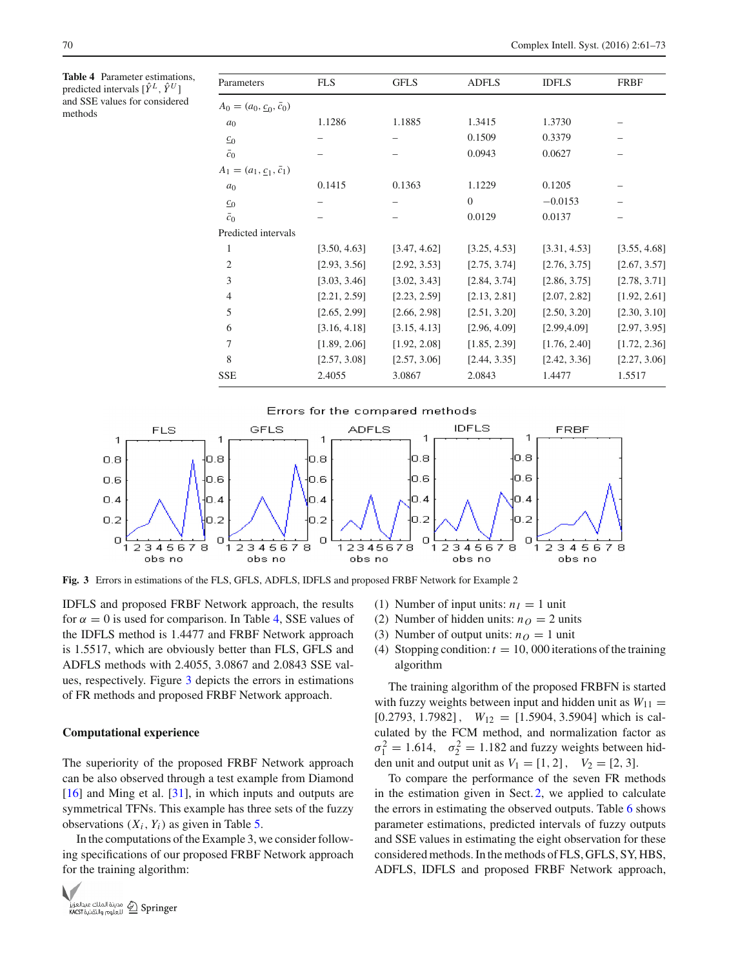<span id="page-9-0"></span>**Table 4** Parameter estimations, predicted intervals  $[\hat{Y}^L,\, \hat{Y}^U]$ and SSE values for considered methods

| Parameters                                     | <b>FLS</b>   | <b>GFLS</b>  | <b>ADFLS</b> | <b>IDFLS</b> | <b>FRBF</b>  |
|------------------------------------------------|--------------|--------------|--------------|--------------|--------------|
| $A_0 = (a_0, \underline{c}_0, \overline{c}_0)$ |              |              |              |              |              |
| a <sub>0</sub>                                 | 1.1286       | 1.1885       | 1.3415       | 1.3730       |              |
| $\underline{c}_0$                              |              |              | 0.1509       | 0.3379       |              |
| $\bar{c}_0$                                    |              |              | 0.0943       | 0.0627       |              |
| $A_1 = (a_1, \underline{c}_1, \overline{c}_1)$ |              |              |              |              |              |
| a <sub>0</sub>                                 | 0.1415       | 0.1363       | 1.1229       | 0.1205       |              |
| $\underline{c}_0$                              |              |              | $\theta$     | $-0.0153$    |              |
| $\bar{c}_0$                                    |              |              | 0.0129       | 0.0137       |              |
| Predicted intervals                            |              |              |              |              |              |
| 1                                              | [3.50, 4.63] | [3.47, 4.62] | [3.25, 4.53] | [3.31, 4.53] | [3.55, 4.68] |
| $\overline{2}$                                 | [2.93, 3.56] | [2.92, 3.53] | [2.75, 3.74] | [2.76, 3.75] | [2.67, 3.57] |
| 3                                              | [3.03, 3.46] | [3.02, 3.43] | [2.84, 3.74] | [2.86, 3.75] | [2.78, 3.71] |
| $\overline{4}$                                 | [2.21, 2.59] | [2.23, 2.59] | [2.13, 2.81] | [2.07, 2.82] | [1.92, 2.61] |
| 5                                              | [2.65, 2.99] | [2.66, 2.98] | [2.51, 3.20] | [2.50, 3.20] | [2.30, 3.10] |
| 6                                              | [3.16, 4.18] | [3.15, 4.13] | [2.96, 4.09] | [2.99, 4.09] | [2.97, 3.95] |
| 7                                              | [1.89, 2.06] | [1.92, 2.08] | [1.85, 2.39] | [1.76, 2.40] | [1.72, 2.36] |
| 8                                              | [2.57, 3.08] | [2.57, 3.06] | [2.44, 3.35] | [2.42, 3.36] | [2.27, 3.06] |
| <b>SSE</b>                                     | 2.4055       | 3.0867       | 2.0843       | 1.4477       | 1.5517       |





<span id="page-9-1"></span>**Fig. 3** Errors in estimations of the FLS, GFLS, ADFLS, IDFLS and proposed FRBF Network for Example 2

IDFLS and proposed FRBF Network approach, the results for  $\alpha = 0$  is used for comparison. In Table [4,](#page-9-0) SSE values of the IDFLS method is 1.4477 and FRBF Network approach is 1.5517, which are obviously better than FLS, GFLS and ADFLS methods with 2.4055, 3.0867 and 2.0843 SSE values, respectively. Figure [3](#page-9-1) depicts the errors in estimations of FR methods and proposed FRBF Network approach.

## **Computational experience**

The superiority of the proposed FRBF Network approach can be also observed through a test example from Diamond [\[16](#page-12-2)] and Ming et al. [\[31\]](#page-12-14), in which inputs and outputs are symmetrical TFNs. This example has three sets of the fuzzy observations  $(X_i, Y_i)$  as given in Table [5.](#page-10-0)

In the computations of the Example 3, we consider following specifications of our proposed FRBF Network approach for the training algorithm:



- (1) Number of input units:  $n_I = 1$  unit
- (2) Number of hidden units:  $n<sub>O</sub> = 2$  units
- (3) Number of output units:  $n<sub>O</sub> = 1$  unit
- (4) Stopping condition:  $t = 10,000$  iterations of the training algorithm

The training algorithm of the proposed FRBFN is started with fuzzy weights between input and hidden unit as  $W_{11}$  = [0.2793, 1.7982],  $W_{12} =$  [1.5904, 3.5904] which is calculated by the FCM method, and normalization factor as  $\sigma_1^2 = 1.614$ ,  $\sigma_2^2 = 1.182$  and fuzzy weights between hidden unit and output unit as  $V_1 = [1, 2]$ ,  $V_2 = [2, 3]$ .

To compare the performance of the seven FR methods in the estimation given in Sect. [2,](#page-1-0) we applied to calculate the errors in estimating the observed outputs. Table [6](#page-10-1) shows parameter estimations, predicted intervals of fuzzy outputs and SSE values in estimating the eight observation for these considered methods. In the methods of FLS, GFLS, SY, HBS, ADFLS, IDFLS and proposed FRBF Network approach,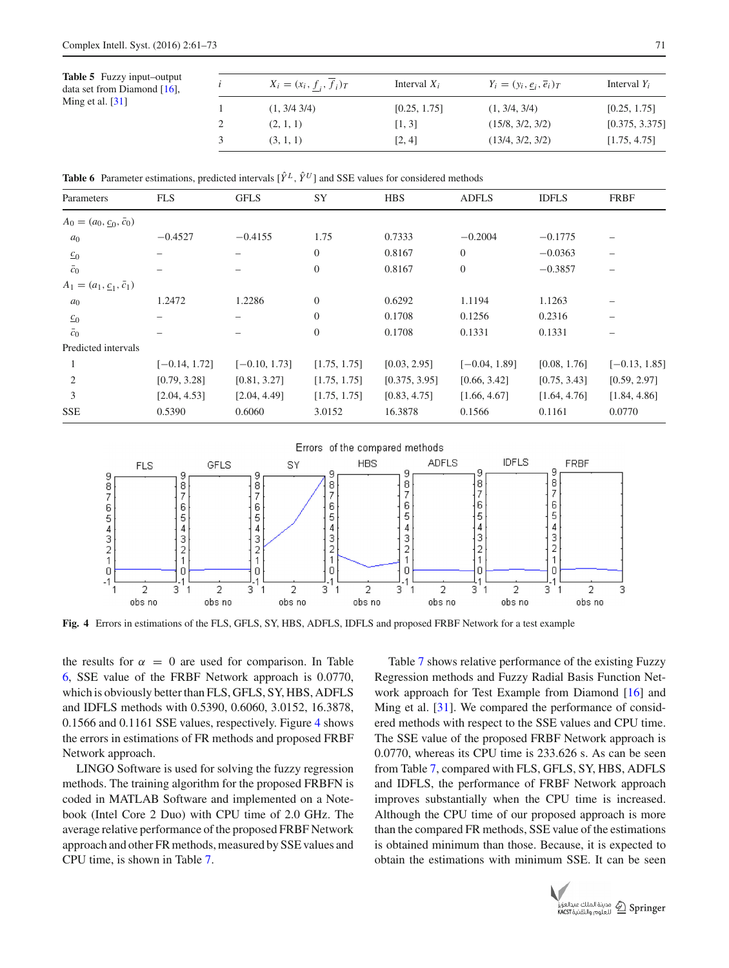<span id="page-10-0"></span>

| <b>Table 5</b> Fuzzy input-output<br>data set from Diamond [16], | $X_i = (x_i, f_i, f_i)$ | Interval $X_i$ | $Y_i = (y_i, \underline{e}_i, \overline{e}_i)_T$ | Interval $Y_i$ |
|------------------------------------------------------------------|-------------------------|----------------|--------------------------------------------------|----------------|
| Ming et al. $[31]$                                               | (1, 3/4, 3/4)           | [0.25, 1.75]   | (1, 3/4, 3/4)                                    | [0.25, 1.75]   |
|                                                                  | (2, 1, 1)               | [1, 3]         | (15/8, 3/2, 3/2)                                 | [0.375, 3.375] |
|                                                                  | (3, 1, 1)               | [2, 4]         | (13/4, 3/2, 3/2)                                 | [1.75, 4.75]   |

**Table 6** Parameter estimations, predicted intervals  $[\hat{Y}^L, \hat{Y}^U]$  and SSE values for considered methods

<span id="page-10-1"></span>

| Parameters                                     | <b>FLS</b>      | <b>GFLS</b>     | SY             | <b>HBS</b>    | <b>ADFLS</b>    | <b>IDFLS</b> | <b>FRBF</b>     |
|------------------------------------------------|-----------------|-----------------|----------------|---------------|-----------------|--------------|-----------------|
| $A_0 = (a_0, c_0, \bar{c}_0)$                  |                 |                 |                |               |                 |              |                 |
| a <sub>0</sub>                                 | $-0.4527$       | $-0.4155$       | 1.75           | 0.7333        | $-0.2004$       | $-0.1775$    |                 |
| $\mathcal{L}_0$                                |                 |                 | $\theta$       | 0.8167        | $\mathbf{0}$    | $-0.0363$    |                 |
| $\bar{c}_0$                                    |                 |                 | $\overline{0}$ | 0.8167        | $\mathbf{0}$    | $-0.3857$    |                 |
| $A_1 = (a_1, \underline{c}_1, \overline{c}_1)$ |                 |                 |                |               |                 |              |                 |
| a <sub>0</sub>                                 | 1.2472          | 1.2286          | $\overline{0}$ | 0.6292        | 1.1194          | 1.1263       |                 |
| $\mathcal{L}_0$                                |                 |                 | $\overline{0}$ | 0.1708        | 0.1256          | 0.2316       |                 |
| $\bar{c}_0$                                    |                 |                 | $\overline{0}$ | 0.1708        | 0.1331          | 0.1331       |                 |
| Predicted intervals                            |                 |                 |                |               |                 |              |                 |
|                                                | $[-0.14, 1.72]$ | $[-0.10, 1.73]$ | [1.75, 1.75]   | [0.03, 2.95]  | $[-0.04, 1.89]$ | [0.08, 1.76] | $[-0.13, 1.85]$ |
| 2                                              | [0.79, 3.28]    | [0.81, 3.27]    | [1.75, 1.75]   | [0.375, 3.95] | [0.66, 3.42]    | [0.75, 3.43] | [0.59, 2.97]    |
| 3                                              | [2.04, 4.53]    | [2.04, 4.49]    | [1.75, 1.75]   | [0.83, 4.75]  | [1.66, 4.67]    | [1.64, 4.76] | [1.84, 4.86]    |
| <b>SSE</b>                                     | 0.5390          | 0.6060          | 3.0152         | 16.3878       | 0.1566          | 0.1161       | 0.0770          |



<span id="page-10-2"></span>**Fig. 4** Errors in estimations of the FLS, GFLS, SY, HBS, ADFLS, IDFLS and proposed FRBF Network for a test example

the results for  $\alpha = 0$  are used for comparison. In Table [6,](#page-10-1) SSE value of the FRBF Network approach is 0.0770, which is obviously better than FLS, GFLS, SY, HBS, ADFLS and IDFLS methods with 0.5390, 0.6060, 3.0152, 16.3878, 0.1566 and 0.1161 SSE values, respectively. Figure [4](#page-10-2) shows the errors in estimations of FR methods and proposed FRBF Network approach.

LINGO Software is used for solving the fuzzy regression methods. The training algorithm for the proposed FRBFN is coded in MATLAB Software and implemented on a Notebook (Intel Core 2 Duo) with CPU time of 2.0 GHz. The average relative performance of the proposed FRBF Network approach and other FR methods, measured by SSE values and CPU time, is shown in Table [7.](#page-11-11)

Table [7](#page-11-11) shows relative performance of the existing Fuzzy Regression methods and Fuzzy Radial Basis Function Network approach for Test Example from Diamond [\[16\]](#page-12-2) and Ming et al. [\[31](#page-12-14)]. We compared the performance of considered methods with respect to the SSE values and CPU time. The SSE value of the proposed FRBF Network approach is 0.0770, whereas its CPU time is 233.626 s. As can be seen from Table [7,](#page-11-11) compared with FLS, GFLS, SY, HBS, ADFLS and IDFLS, the performance of FRBF Network approach improves substantially when the CPU time is increased. Although the CPU time of our proposed approach is more than the compared FR methods, SSE value of the estimations is obtained minimum than those. Because, it is expected to obtain the estimations with minimum SSE. It can be seen

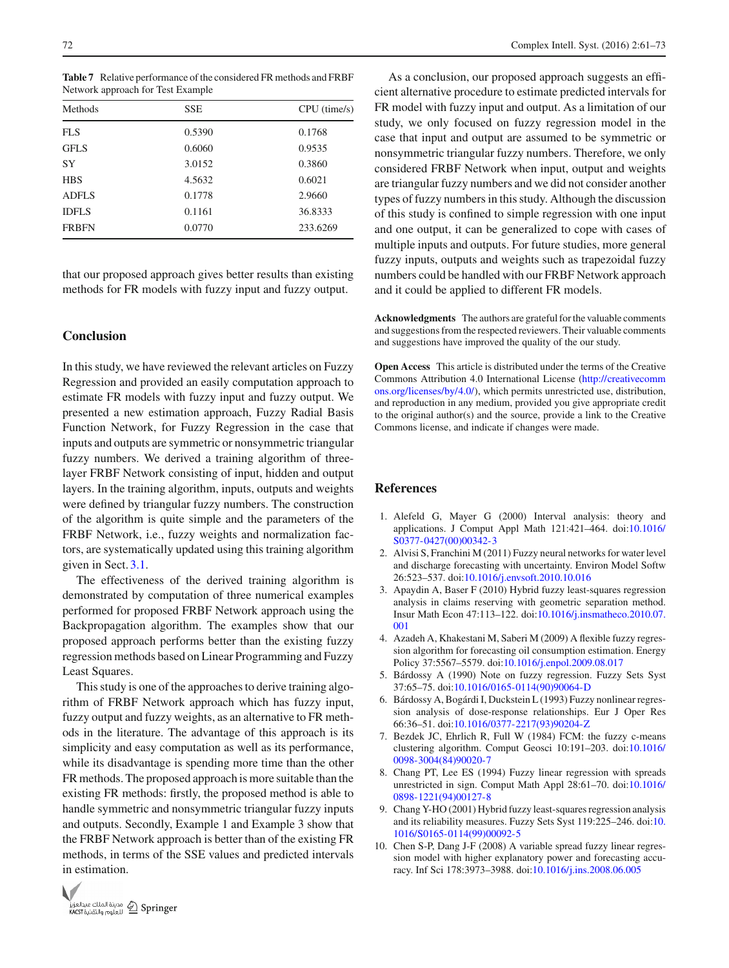<span id="page-11-11"></span>**Table 7** Relative performance of the considered FR methods and FRBF Network approach for Test Example

| Methods      | <b>SSE</b> | $CPU \times$ |
|--------------|------------|--------------|
| <b>FLS</b>   | 0.5390     | 0.1768       |
| <b>GFLS</b>  | 0.6060     | 0.9535       |
| <b>SY</b>    | 3.0152     | 0.3860       |
| <b>HBS</b>   | 4.5632     | 0.6021       |
| ADFLS        | 0.1778     | 2.9660       |
| <b>IDFLS</b> | 0.1161     | 36.8333      |
| <b>FRBFN</b> | 0.0770     | 233.6269     |
|              |            |              |

<span id="page-11-8"></span>that our proposed approach gives better results than existing methods for FR models with fuzzy input and fuzzy output.

## **Conclusion**

In this study, we have reviewed the relevant articles on Fuzzy Regression and provided an easily computation approach to estimate FR models with fuzzy input and fuzzy output. We presented a new estimation approach, Fuzzy Radial Basis Function Network, for Fuzzy Regression in the case that inputs and outputs are symmetric or nonsymmetric triangular fuzzy numbers. We derived a training algorithm of threelayer FRBF Network consisting of input, hidden and output layers. In the training algorithm, inputs, outputs and weights were defined by triangular fuzzy numbers. The construction of the algorithm is quite simple and the parameters of the FRBF Network, i.e., fuzzy weights and normalization factors, are systematically updated using this training algorithm given in Sect. [3.1.](#page-4-4)

The effectiveness of the derived training algorithm is demonstrated by computation of three numerical examples performed for proposed FRBF Network approach using the Backpropagation algorithm. The examples show that our proposed approach performs better than the existing fuzzy regression methods based on Linear Programming and Fuzzy Least Squares.

This study is one of the approaches to derive training algorithm of FRBF Network approach which has fuzzy input, fuzzy output and fuzzy weights, as an alternative to FR methods in the literature. The advantage of this approach is its simplicity and easy computation as well as its performance, while its disadvantage is spending more time than the other FR methods. The proposed approach is more suitable than the existing FR methods: firstly, the proposed method is able to handle symmetric and nonsymmetric triangular fuzzy inputs and outputs. Secondly, Example 1 and Example 3 show that the FRBF Network approach is better than of the existing FR methods, in terms of the SSE values and predicted intervals in estimation.



As a conclusion, our proposed approach suggests an efficient alternative procedure to estimate predicted intervals for FR model with fuzzy input and output. As a limitation of our study, we only focused on fuzzy regression model in the case that input and output are assumed to be symmetric or nonsymmetric triangular fuzzy numbers. Therefore, we only considered FRBF Network when input, output and weights are triangular fuzzy numbers and we did not consider another types of fuzzy numbers in this study. Although the discussion of this study is confined to simple regression with one input and one output, it can be generalized to cope with cases of multiple inputs and outputs. For future studies, more general fuzzy inputs, outputs and weights such as trapezoidal fuzzy numbers could be handled with our FRBF Network approach and it could be applied to different FR models.

**Acknowledgments** The authors are grateful for the valuable comments and suggestions from the respected reviewers. Their valuable comments and suggestions have improved the quality of the our study.

**Open Access** This article is distributed under the terms of the Creative Commons Attribution 4.0 International License [\(http://creativecomm](http://creativecommons.org/licenses/by/4.0/) [ons.org/licenses/by/4.0/\)](http://creativecommons.org/licenses/by/4.0/), which permits unrestricted use, distribution, and reproduction in any medium, provided you give appropriate credit to the original author(s) and the source, provide a link to the Creative Commons license, and indicate if changes were made.

## <span id="page-11-9"></span>**References**

- 1. Alefeld G, Mayer G (2000) Interval analysis: theory and applications. J Comput Appl Math 121:421–464. doi[:10.1016/](http://dx.doi.org/10.1016/S0377-0427(00)00342-3) [S0377-0427\(00\)00342-3](http://dx.doi.org/10.1016/S0377-0427(00)00342-3)
- <span id="page-11-7"></span>2. Alvisi S, Franchini M (2011) Fuzzy neural networks for water level and discharge forecasting with uncertainty. Environ Model Softw 26:523–537. doi[:10.1016/j.envsoft.2010.10.016](http://dx.doi.org/10.1016/j.envsoft.2010.10.016)
- <span id="page-11-3"></span>3. Apaydin A, Baser F (2010) Hybrid fuzzy least-squares regression analysis in claims reserving with geometric separation method. Insur Math Econ 47:113–122. doi[:10.1016/j.insmatheco.2010.07.](http://dx.doi.org/10.1016/j.insmatheco.2010.07.001) [001](http://dx.doi.org/10.1016/j.insmatheco.2010.07.001)
- <span id="page-11-0"></span>4. Azadeh A, Khakestani M, Saberi M (2009) A flexible fuzzy regression algorithm for forecasting oil consumption estimation. Energy Policy 37:5567–5579. doi[:10.1016/j.enpol.2009.08.017](http://dx.doi.org/10.1016/j.enpol.2009.08.017)
- <span id="page-11-5"></span>5. Bárdossy A (1990) Note on fuzzy regression. Fuzzy Sets Syst 37:65–75. doi[:10.1016/0165-0114\(90\)90064-D](http://dx.doi.org/10.1016/0165-0114(90)90064-D)
- <span id="page-11-1"></span>6. Bárdossy A, Bogárdi I, Duckstein L (1993) Fuzzy nonlinear regression analysis of dose-response relationships. Eur J Oper Res 66:36–51. doi[:10.1016/0377-2217\(93\)90204-Z](http://dx.doi.org/10.1016/0377-2217(93)90204-Z)
- <span id="page-11-10"></span>7. Bezdek JC, Ehrlich R, Full W (1984) FCM: the fuzzy c-means clustering algorithm. Comput Geosci 10:191–203. doi[:10.1016/](http://dx.doi.org/10.1016/0098-3004(84)90020-7) [0098-3004\(84\)90020-7](http://dx.doi.org/10.1016/0098-3004(84)90020-7)
- <span id="page-11-2"></span>8. Chang PT, Lee ES (1994) Fuzzy linear regression with spreads unrestricted in sign. Comput Math Appl 28:61–70. doi[:10.1016/](http://dx.doi.org/10.1016/0898-1221(94)00127-8) [0898-1221\(94\)00127-8](http://dx.doi.org/10.1016/0898-1221(94)00127-8)
- <span id="page-11-4"></span>9. Chang Y-HO (2001) Hybrid fuzzy least-squares regression analysis and its reliability measures. Fuzzy Sets Syst 119:225–246. doi[:10.](http://dx.doi.org/10.1016/S0165-0114(99)00092-5) [1016/S0165-0114\(99\)00092-5](http://dx.doi.org/10.1016/S0165-0114(99)00092-5)
- <span id="page-11-6"></span>10. Chen S-P, Dang J-F (2008) A variable spread fuzzy linear regression model with higher explanatory power and forecasting accuracy. Inf Sci 178:3973–3988. doi[:10.1016/j.ins.2008.06.005](http://dx.doi.org/10.1016/j.ins.2008.06.005)